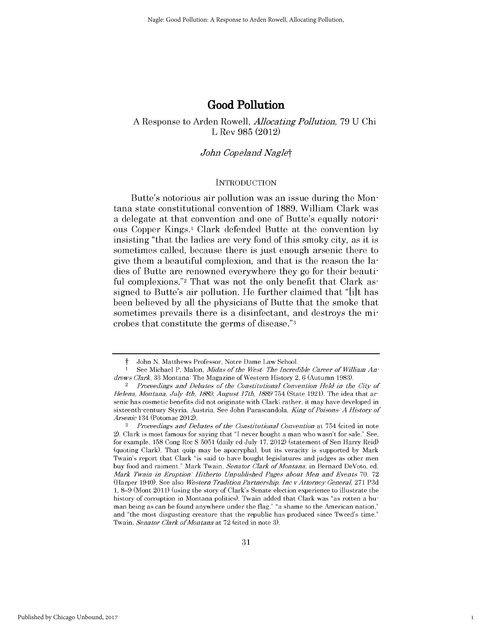# **Good Pollution**

## **A** Response to Arden Rowell, *Allocating Pollution,* **79 U Chi** L Rev **985** (2012)

## *John Copeland Naglet*

### **INTRODUCTION**

Butte's notorious air pollution was an issue during the Montana state constitutional convention of **1889.** William Clark was a delegate at that convention and one of Butte's equally notorious Copper Kings.1 Clark defended Butte at the convention **by** insisting "that the ladies are very fond of this smoky city, as it **is** sometimes called, because there is just enough arsenic there to give them a beautiful complexion, and that is the reason the ladies of Butte are renowned everywhere they go for their beautiful complexions."<sup>2</sup> That was not the only benefit that Clark assigned to Butte's air pollution. He further claimed that **"[i]t** has been believed **by** all the physicians of Butte that the smoke that sometimes prevails there is a disinfectant, and destroys the **mi**crobes that constitute the germs of disease." <sup>3</sup>

John N. Matthews Professor, Notre Dame Law School.

See Michael P. Malon, *Midas of the West<sup>:</sup> The Incredible Career of William Andrews Clark,* 33 Montana: The Magazine of Western History 2, 6 (Autumn 1983).

<sup>2</sup>*Proceedings and Debates of the Constitutional Convention Held in the City of Helena, Montana,* July *4th, 1889, August 17th, 1889* 754 (State 1921). The idea that arsenic has cosmetic benefits did not originate with Clark; rather, it may have developed in sixteenth-century Styria, Austria. See John Parascandola, *King of Poisons. A History of Arsenic* 134 (Potomac 2012).

*<sup>3</sup> Proceedings and Debates of the Constitutional Convention* at 754 (cited in note 2). Clark is most famous for saying that "I never bought a man who wasn't for sale." See, for example, 158 Cong Rec **S** 5051 (daily ed July 17, 2012) (statement of Sen Harry Reid) (quoting Clark). That quip may be apocryphal, but its veracity is supported by Mark Twain's report that Clark "is said to have bought legislatures and judges as other men buy food and raiment." Mark Twain, *Senator Clark of Montana,* in Bernard DeVoto, ed, *Mark Twain in Eruption. Hitherto Unpublished Pages about Men and Events* 70, 72 (Harper 1940). See also *Western Tradition Partnership, Inc vAttorney General,* 271 P3d 1, 8-9 (Mont 2011) (using the story of Clark's Senate election experience to illustrate the history of corruption in Montana politics). Twain added that Clark was "as rotten a human being as can be found anywhere under the flag," "a shame to the American nation," and "the most disgusting creature that the republic has produced since Tweed's time." Twain, *Senator Clark of Montana* at 72 (cited in note 3).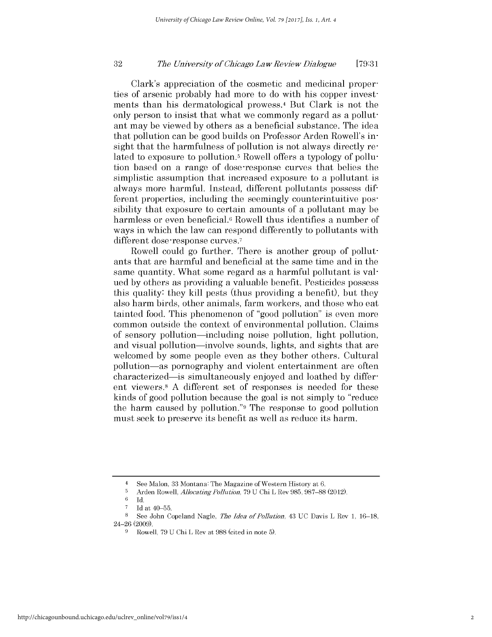#### 32 *The Univorsity of Ohicago Law Roviow Dialoguo* **[79:31**

Clark's appreciation of the cosmetic and medicinal properties of arsenic probably had more to do with his copper investments than his dermatological prowess.<sup>4</sup> But Clark is not the only person to insist that what we commonly regard as a pollutant may be viewed by others as a beneficial substance. The idea that pollution can be good builds on Professor Arden Rowell's insight that the harmfulness of pollution is not always directly related to exposure to pollution.<sup>5</sup> Rowell offers a typology of pollution based on a range of dose-response curves that belies the simplistic assumption that increased exposure to a pollutant is always more harmful. Instead, different pollutants possess different properties, including the seemingly counterintuitive **pos**sibility that exposure to certain amounts of a pollutant may be harmless or even beneficial.<sup>6</sup> Rowell thus identifies a number of ways in which the law can respond differently to pollutants with different dose-response curves.<sup>7</sup>

Rowell could go further. There is another group of pollutants that are harmful and beneficial at the same time and in the same quantity. What some regard as a harmful pollutant is valued by others as providing a valuable benefit. Pesticides possess this quality: they kill pests (thus providing a benefit), but they also harm birds, other animals, farm workers, and those who eat tainted food. This phenomenon of "good pollution" is even more common outside the context of environmental pollution. Claims of sensory pollution-including noise pollution, light pollution, and visual pollution-involve sounds, lights, and sights that are welcomed by some people even as they bother others. Cultural pollution-as pornography and violent entertainment are often characterized—is simultaneously enjoyed and loathed by different viewers. 8 A different set of responses is needed for these kinds of good pollution because the goal is not simply to "reduce the harm caused by pollution."9 The response to good pollution must seek to preserve its benefit as well as reduce its harm.

<sup>&</sup>lt;sup>4</sup> See Malon, 33 Montana: The Magazine of Western History at 6.<br> $\frac{5}{2}$  Arden Bowell, *Allocating Pollution*, 79 U.Chi L.Boy 985, 987–88

<sup>5</sup> Arden Rowell, *Allocating Pollution,* 79 U Chi L Rev 985, 987-88 (2012).

**<sup>6</sup>**Id.

**<sup>7</sup>**Id at 40-55.

<sup>8</sup> See John Copeland Nagle, *Tho Idea of Pollution,* 43 UC Davis L Rev 1, 16-18, 24-26 (2009).

<sup>9</sup> Rowell, 79 U Chi L Rev at 988 (cited in note 5).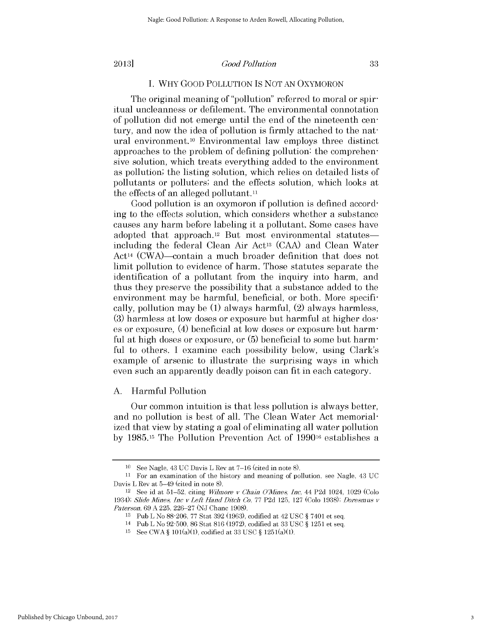#### *Good Pollution*

## I. WHY GOOD POLLUTION IS NOT AN OXYMORON

The original meaning of "pollution" referred to moral or spiritual uncleanness or defilement. The environmental connotation of pollution did not emerge until the end of the nineteenth century, and now the idea of pollution is firmly attached to the natural environment.10 Environmental law employs three distinct approaches to the problem of defining pollution: the comprehensive solution, which treats everything added to the environment as pollution; the listing solution, which relies on detailed lists of pollutants or polluters; and the effects solution, which looks at the effects of an alleged pollutant.<sup>11</sup>

Good pollution is an oxymoron if pollution is defined according to the effects solution, which considers whether a substance causes any harm before labeling it a pollutant. Some cases have adopted that approach.<sup>12</sup> But most environmental statutesincluding the federal Clean Air Act<sup>13</sup> (CAA) and Clean Water Act<sup>14</sup> (CWA)—contain a much broader definition that does not limit pollution to evidence of harm. Those statutes separate the identification of a pollutant from the inquiry into harm, and thus they preserve the possibility that a substance added to the environment may be harmful, beneficial, or both. More specifically, pollution may be (1) always harmful, (2) always harmless, (3) harmless at low doses or exposure but harmful at higher doses or exposure, (4) beneficial at low doses or exposure but harmful at high doses or exposure, or  $(5)$  beneficial to some but harmful to others. I examine each possibility below, using Clark's example of arsenic to illustrate the surprising ways in which even such an apparently deadly poison can fit in each category.

### A. Harmful Pollution

Our common intuition is that less pollution is always better, and no pollution is best of all. The Clean Water Act memorialized that view by stating a goal of eliminating all water pollution by 1985.15 The Pollution Prevention Act of 199016 establishes a

<sup>10</sup> See Nagle, 43 UC Davis L Rev at 7-16 (cited in note 8).

<sup>11</sup> For an examination of the history and meaning of pollution, see Nagle, 43 UC Davis L Rev at 5-49 (cited in note 8).

<sup>&</sup>lt;sup>12</sup> See id at 51-52, citing *Wilmore v Chain O'Mines, Inc*, 44 P2d 1024, 1029 (Colo 1934); *Slide Mines, Inc v Left Hand Ditch* Co, 77 P2d 125, 127 (Colo 1938); *Doresmus v Paterson,* 69 A 225, 226-27 (NJ Chanc 1908).

<sup>13</sup> Pub L No 88-206, 77 Stat 392 (1963), codified at 42 USC § 7401 et seq.

<sup>14</sup>Pub L No 92-500, 86 Stat 816 (1972), codified at 33 USC § 1251 et seq.

<sup>15</sup> See CWA § 101(a)(1), codified at 33 USC § 1251(a)(1).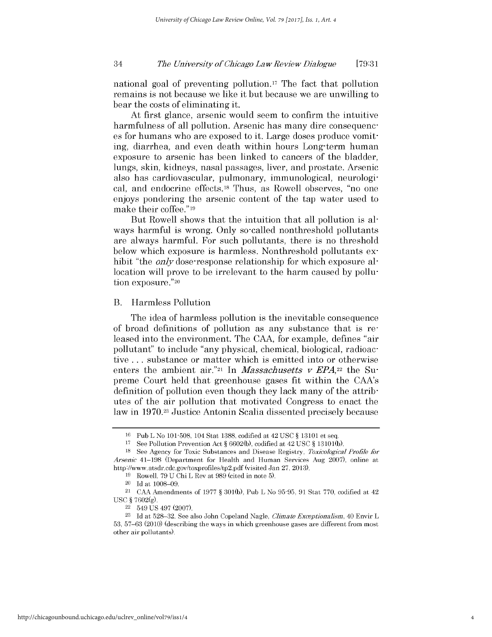#### 34 *Tho Univorsity of Ohicago Law Roviow Dialoguo* **[79:31**

national goal of preventing pollution.17 The fact that pollution remains is not because we like it but because we are unwilling to bear the costs of eliminating it.

At first glance, arsenic would seem to confirm the intuitive harmfulness of all pollution. Arsenic has many dire consequences for humans who are exposed to it. Large doses produce vomiting, diarrhea, and even death within hours Long-term human exposure to arsenic has been linked to cancers of the bladder, lungs, skin, kidneys, nasal passages, liver, and prostate. Arsenic also has cardiovascular, pulmonary, immunological, neurological, and endocrine effects.18 Thus, as Rowell observes, "no one enjoys pondering the arsenic content of the tap water used to make their coffee." 19

But Rowell shows that the intuition that all pollution is always harmful is wrong. Only so-called nonthreshold pollutants are always harmful. For such pollutants, there is no threshold below which exposure is harmless. Nonthreshold pollutants exhibit "the *only* dose response relationship for which exposure allocation will prove to be irrelevant to the harm caused by pollution exposure."<sup>20</sup>

B. Harmless Pollution

The idea of harmless pollution is the inevitable consequence of broad definitions of pollution as any substance that is released into the environment. The CAA, for example, defines "air pollutant" to include "any physical, chemical, biological, radioactive ... substance or matter which is emitted into or otherwise enters the ambient air.<sup>"21</sup> In *Massachusetts v EPA*,<sup>22</sup> the Supreme Court held that greenhouse gases fit within the CANs definition of pollution even though they lack many of the attributes of the air pollution that motivated Congress to enact the law in 1970.23 Justice Antonin Scalia dissented precisely because

<sup>16</sup> Pub L No 101-508, 104 Stat 1388, codified at 42 USC § 13101 et seq.

<sup>17</sup> See Pollution Prevention Act § 6602(b), codified at 42 USC § 13 101(b).

<sup>18</sup> See Agency for Toxic Substances and Disease Registry, *Toxicological Profile for Arsenic* 41-198 (Department for Health and Human Services Aug 2007), online at http://www.atsdr.cdc.gov/toxprofiles/tp2.pdf (visited Jan 27, 2013).

<sup>19</sup> Rowell, 79 U Chi L Rev at 989 (cited in note 5).

<sup>20</sup> Id at 1008-09.

<sup>21</sup> CAA Amendments of 1977 § 301(b), Pub L No 95-95, 91 Stat 770, codified at 42 **USC** § 7602(g).

<sup>22 549</sup> US 497 (2007).

<sup>23</sup> Id at 528-32. See also John Copeland Nagle, *Climate Exceptionalism,* 40 Envir L 53, 57-63 (2010) (describing the ways in which greenhouse gases are different from most other air pollutants).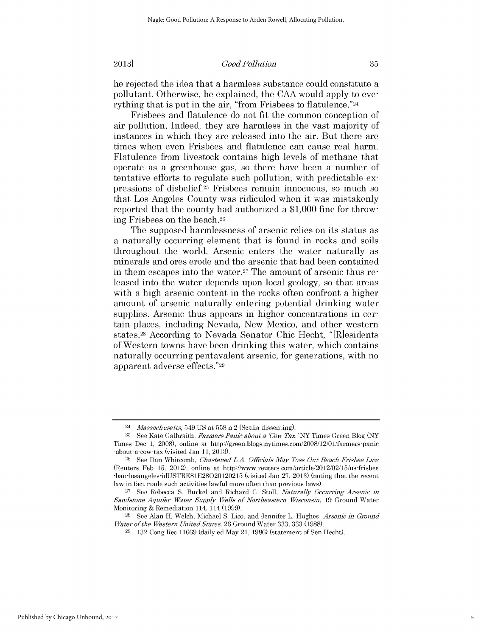#### *Good Pollution*

he rejected the idea that a harmless substance could constitute a pollutant. Otherwise, he explained, the CAA would apply to everything that is put in the air, "from Frisbees to flatulence."<sup>24</sup>

Frisbees and flatulence do not fit the common conception of air pollution. Indeed, they are harmless in the vast majority of instances in which they are released into the air. But there are times when even Frisbees and flatulence can cause real harm. Flatulence from livestock contains high levels of methane that operate as a greenhouse gas, so there have been a number of tentative efforts to regulate such pollution, with predictable expressions of disbelief.25 Frisbees remain innocuous, so much so that Los Angeles County was ridiculed when it was mistakenly reported that the county had authorized a \$1,000 fine for throwing Frisbees on the beach.26

The supposed harmlessness of arsenic relies on its status as a naturally occurring element that is found in rocks and soils throughout the world. Arsenic enters the water naturally as minerals and ores erode and the arsenic that had been contained in them escapes into the water.<sup>27</sup> The amount of arsenic thus released into the water depends upon local geology, so that areas with a high arsenic content in the rocks often confront a higher amount of arsenic naturally entering potential drinking water supplies. Arsenic thus appears in higher concentrations in certain places, including Nevada, New Mexico, and other western states.28 According to Nevada Senator Chic Hecht, "IR]esidents of Western towns have been drinking this water, which contains naturally occurring pentavalent arsenic, for generations, with no apparent adverse effects."29

<sup>24</sup>*Massachusetts,* 549 US at 558 n 2 (Scalia dissenting).

<sup>25</sup> See Kate Galbraith, *Farmers Panic about a 'Cow Tax,* 'NY Times Green Blog (NY Times Dec 1, 2008), online at http://green.blogs.nytimes.com/2008/12/01/farmers-panic -about-a-cow-tax (visited Jan 11, 2013).

<sup>26</sup> See Dan Whitcomb, *Chastened* **L.A.** *Officials May Toss Out Beach Frisbee Law* (Reuters Feb 15, 2012), online at http://www.reuters.com/article/2012/02/15/us-frisbee -ban-losangeles-idUSTRE81E28020120215 (visited Jan 27, 2013) (noting that the recent law in fact made such activities lawful more often than previous laws).

**<sup>27</sup>**See Rebecca S. Burkel and Richard C. Stoll, *Naturally Occurring Arsenic in Sandstone Aquifer Water Supply Wells of Northeastern Wisconsin,* 19 Ground Water Monitoring & Remediation 114, 114 (1999).

**<sup>28</sup>**See Alan H. Welch, Michael S. Lico, and Jennifer L. Hughes, *Arsenic in Ground Water of the Western United States,* 26 Ground Water 333, 333 (1988).

<sup>132</sup> Cong Rec 11669 (daily ed May 21, 1986) (statement of Sen Hecht).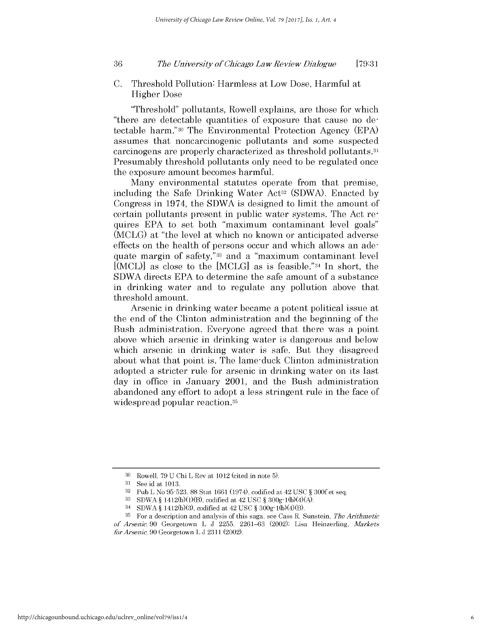#### 36 *Tho Univorsity of Ohicago Law Roviow Dialoguo* **[79:31**

C. Threshold Pollution: Harmless at Low Dose, Harmful at Higher Dose

"Threshold" pollutants, Rowell explains, are those for which "there are detectable quantities of exposure that cause no detectable harm."30 The Environmental Protection Agency (EPA) assumes that noncarcinogenic pollutants and some suspected carcinogens are properly characterized as threshold pollutants.31 Presumably threshold pollutants only need to be regulated once the exposure amount becomes harmful.

Many environmental statutes operate from that premise, including the Safe Drinking Water Act<sup>32</sup> (SDWA). Enacted by Congress in 1974, the SDWA is designed to limit the amount of certain pollutants present in public water systems. The Act requires EPA to set both "maximum contaminant level goals" (MCLG) at "the level at which no known or anticipated adverse effects on the health of persons occur and which allows an adequate margin of safety,"33 and a "maximum contaminant level  $[(MCL)]$  as close to the  $[MCLG]$  as is feasible."<sup>34</sup> In short, the SDWA directs EPA to determine the safe amount of a substance in drinking water and to regulate any pollution above that threshold amount.

Arsenic in drinking water became a potent political issue at the end of the Clinton administration and the beginning of the Bush administration. Everyone agreed that there was a point above which arsenic in drinking water is dangerous and below which arsenic in drinking water is safe. But they disagreed about what that point is. The lame-duck Clinton administration adopted a stricter rule for arsenic in drinking water on its last day in office in January 2001, and the Bush administration abandoned any effort to adopt a less stringent rule in the face of widespread popular reaction.<sup>35</sup>

<sup>30</sup> Rowell, 79 U Chi L Rev at 1012 (cited in note 5).

<sup>31</sup> See id at 1013.

<sup>32</sup> Pub L No 95-523, 88 Stat 1661 (1974), codified at 42 USC § 300f et seq.

<sup>33</sup> SDWA § 1412(b)(1)(B), codified at 42 USC § 300g-l(b)(4)(A).

<sup>34</sup> SDWA § 1412(b)(3), codified at 42 USC § 300g-1(b)(4)(B).

<sup>35</sup> For a description and analysis of this saga, see Cass R. Sunstein, *The Arithmetic of Arsenic,* 90 Georgetown L J 2255, 2261-63 (2002); Lisa Heinzerling, *Markets for Arsenic,* 90 Georgetown L J 2311 (2002).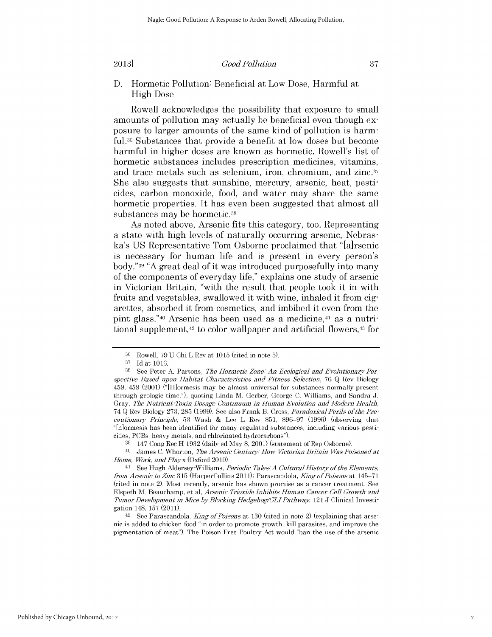### **2013]** *Good Pollution*

**D.** Hormetic Pollution: Beneficial at Low Dose, Harmful at **High** Dose

Rowell acknowledges the possibility that exposure to small amounts of pollution may actually be beneficial even though exposure to larger amounts of the same kind of pollution is harm**ful.36** Substances that provide a benefit at low doses but become harmful in higher doses are known as hormetic. Rowell's list of hormetic substances includes prescription medicines, vitamins, and trace metals such as selenium, iron, chromium, and zinc.<sup>37</sup> She also suggests that sunshine, mercury, arsenic, heat, pesticides, carbon monoxide, food, and water may share the same hormetic properties. It has even been suggested that almost all substances may be hormetic.<sup>38</sup>

As noted above, Arsenic fits this category, too. Representing a state with **high** levels of naturally occurring arsenic, Nebraska's **US** Representative Tom Osborne proclaimed that "Ia]rsenic is necessary for human life and is present in every person's body."<sup>39</sup>**"A** great deal of it was introduced purposefully into many of the components of everyday life," explains one study of arsenic in Victorian Britain, "with the result that people took it in with fruits and vegetables, swallowed it with wine, inhaled it from **cig**arettes, absorbed it from cosmetics, and imbibed it even from the pint glass."<sup>40</sup> Arsenic has been used as a medicine,<sup>41</sup> as a nutritional supplement,<sup>42</sup> to color wallpaper and artificial flowers,<sup>43</sup> for

<sup>40</sup> James C. Whorton, *The Arsenic Century How Victorian Britain Was Poisoned at Home, Work, and Playx* (Oxford 2010).

<sup>41</sup>**See** Hugh Aldersey-Williams, *Periodic Tales- A Cultural History of the Elements, from Arsenic to Zinc* **315** (HarperCollins **2011);** Parascandola, *King of Poisons* at 145-71 (cited in note 2). Most recently, arsenic has shown promise as a cancer treatment. See Elspeth M. Beauchamp, et **al,** *Arsenic Trioxide Inhibits Human Cancer Cell Growth and Tumor Development in Mice by Blocking Hedgehog/GLI Pathway,* 121 **J** Clinical Investigation 148, **157** (2011).

42 **See** Parascandola, *King of Poisons* at **130** (cited in note 2) (explaining that arsenic is added to chicken food "in order to promote growth, kill parasites, and improve the pigmentation of meat"). The Poison-Free Poultry Act would "ban the use of the arsenic

**<sup>36</sup>**Rowell, **79 U** Chi L Rev at **1015** (cited in note **5).**

**<sup>37</sup> Id** at **1016.**

**<sup>38</sup>** See Peter **A.** Parsons, *The Hormetic Zone. An Ecological and Evolutionary* **Per***spective Based upon Habitat Characteristics and Fitness Selection,* **76 Q** Rev Biology 459, 459 (2001) ("[H]ormesis may be almost universal for substances normally present through geologic time."), quoting Linda M. Gerber, George **C.** Williams, and Sandra **J.** Gray, *The Nutrient-Toxin Dosage Continuum in Human Evolution and Modern Health,* 74 **Q** Rev Biology **273, 285 (1999).** See also Frank B. Cross, *ParadoxicalPerils of the Precautionary Principle,* **53** Wash **&** Lee L Rev **851, 896-97 (1996)** (observing that "[h]ormesis has been identified for many regulated substances, including various pesticides, PCBs, heavy metals, and chlorinated hydrocarbons").

**<sup>39</sup>**147 Cong Rec H **1932** (daily ed May **8,** 2001) (statement of Rep Osborne).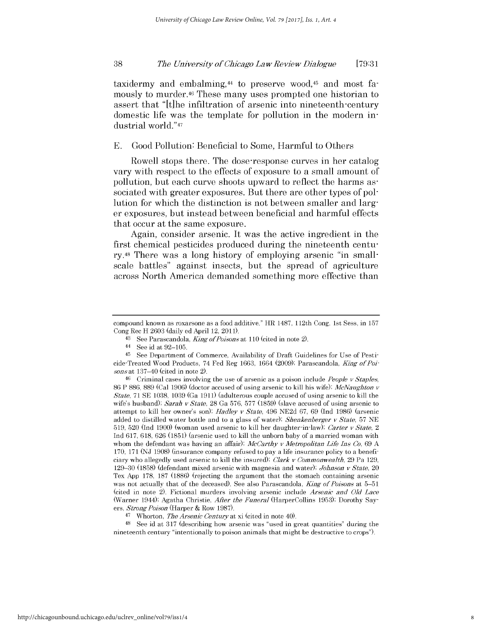taxidermy and embalming,<sup>44</sup> to preserve wood,<sup>45</sup> and most famously to murder.46 These many uses prompted one historian to assert that **"It]he** infiltration of arsenic into nineteenth-century domestic life was the template for pollution in the modern **in**dustrial world."<sup>47</sup>

### **E.** Good Pollution: Beneficial to Some, Harmful to Others

Rowell stops there. The dose-response curves in her catalog vary with respect to the effects of exposure to a small amount of pollution, but each curve shoots upward to reflect the harms associated with greater exposures. But there are other types of pollution for which the distinction is not between smaller and larger exposures, but instead between beneficial and harmful effects that occur at the same exposure.

Again, consider arsenic. It was the active ingredient in the first chemical pesticides produced during the nineteenth century.48 There was a long history of employing arsenic "in smallscale battles" against insects, but the spread of agriculture across North America demanded something more effective than

**<sup>48</sup>**See id at 317 (describing how arsenic was "used in great quantities" during the nineteenth century "intentionally to poison animals that might be destructive to crops").

compound known as roxarsone as a food additive." HR 1487, 112th Cong, 1st Sess, in 157 Cong Rec H 2603 (daily ed April 12, 2011).

<sup>43</sup> See Parascandola, *King of Poisons* at 110 (cited in note 2).

<sup>44</sup> See id at 92-105.

<sup>45</sup> See Department of Commerce, Availability of Draft Guidelines for Use of Pesticide-Treated Wood Products, 74 Fed Reg 1663, 1664 (2009); Parascandola, *King of Poisons* at 137-40 (cited in note 2).

<sup>46</sup> Criminal cases involving the use of arsenic as a poison include *People v Staples,* 86 P 886, 889 (Cal 1906) (doctor accused of using arsenic to kill his wife); *McNaughton v State,* 71 SE 1038, 1039 (Ga 1911) (adulterous couple accused of using arsenic to kill the wife's husband); *Sarah v State*, 28 Ga 576, 577 (1859) (slave accused of using arsenic to attempt to kill her owner's son); *Hadley v State,* 496 NE2d 67, 69 (Ind 1986) (arsenic added to distilled water bottle and to a glass of water); *Shenkenberger v State*, 57 NE 519, 520 (Ind 1900) (woman used arsenic to kill her daughter-in-law); *Carter v Stato, 2* Ind 617, 618, 626 (1851) (arsenic used to kill the unborn baby of a married woman with whom the defendant was having an affair); *McCarthy v Metropolitan Life Ins Co*, 69 A 170, 171 (NJ 1908) (insurance company refused to pay a life insurance policy to a beneficiary who allegedly used arsenic to kill the insured); *Clark v Commonwealth,* 29 Pa 129, 129-30 (1858) (defendant mixed arsenic with magnesia and water); *Johnson v State,* 20 Tex App 178, 187 (1886) (rejecting the argument that the stomach containing arsenic was not actually that of the deceased). See also Parascandola, *King of Poisons* at 5-51 (cited in note 2). Fictional murders involving arsenic include *Arsenic and Old Lace* (Warner 1944); Agatha Christie, *After the Funeral* (HarperCollins 1953); Dorothy Sayers, *StrongPoison* (Harper & Row 1987).

<sup>47</sup>Whorton, *The Arsenic Century* at xi (cited in note 40).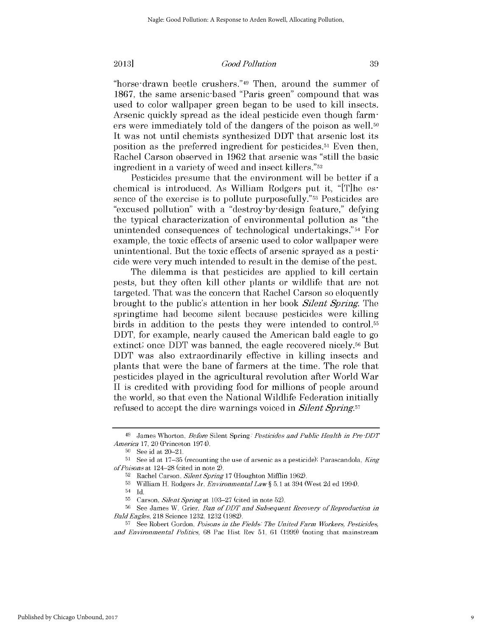#### *Good Pollution*

"horse-drawn beetle crushers."<sup>49</sup> Then, around the summer of 1867, the same arsenic-based "Paris green" compound that was used to color wallpaper green began to be used to kill insects. Arsenic quickly spread as the ideal pesticide even though farmers were immediately told of the dangers of the poison as well.<sup>50</sup> It was not until chemists synthesized DDT that arsenic lost its position as the preferred ingredient for pesticides.51 Even then, Rachel Carson observed in 1962 that arsenic was "still the basic ingredient in a variety of weed and insect killers."52

Pesticides presume that the environment will be better if a chemical is introduced. As William Rodgers put it, "[T]he essence of the exercise is to pollute purposefully."53 Pesticides are "excused pollution" with a "destroy-by-design feature," defying the typical characterization of environmental pollution as "the unintended consequences of technological undertakings."<sup>54</sup> For example, the toxic effects of arsenic used to color wallpaper were unintentional. But the toxic effects of arsenic sprayed as a pesticide were very much intended to result in the demise of the pest.

The dilemma is that pesticides are applied to kill certain pests, but they often kill other plants or wildlife that are not targeted. That was the concern that Rachel Carson so eloquently brought to the public's attention in her book *Silent Spring.* The springtime had become silent because pesticides were killing birds in addition to the pests they were intended to control.55 DDT, for example, nearly caused the American bald eagle to go extinct; once DDT was banned, the eagle recovered nicely.56 But DDT was also extraordinarily effective in killing insects and plants that were the bane of farmers at the time. The role that pesticides played in the agricultural revolution after World War II is credited with providing food for millions of people around the world, so that even the National Wildlife Federation initially refused to accept the dire warnings voiced in *Silent Spring.57*

<sup>49</sup>James Whorton, *Before* Silent Spring. *Pesticides and Public Health in Pre -DDT America* 17, 20 (Princeton 1974).

**<sup>50</sup>**See id at 20-21.

<sup>51</sup> See id at 17-35 (recounting the use of arsenic as a pesticide); Parascandola, *King of Poisons* at 124-28 (cited in note 2). 52 Rachel Carson, *SilentSpring* 17 (Houghton Mifflin 1962).

**<sup>53</sup>**William H. Rodgers Jr, *Environmental Law§* 5.1 at 394 (West 2d ed 1994).

 $54$  Id.

**<sup>55</sup>**Carson, *Silent Spring* at 103-27 (cited in note 52).

**<sup>56</sup>**See James W. Grier, *Ban of DDT and Subsequent Recovery of Reproduction in BaldEagles,* 218 Science 1232, 1232 (1982).

**<sup>57</sup>**See Robert Gordon, *Poisons in the Fields The United Farm Workers, Pesticides, and Environmental Politics,* 68 Pac Hist Rev 51, 61 (1999) (noting that mainstream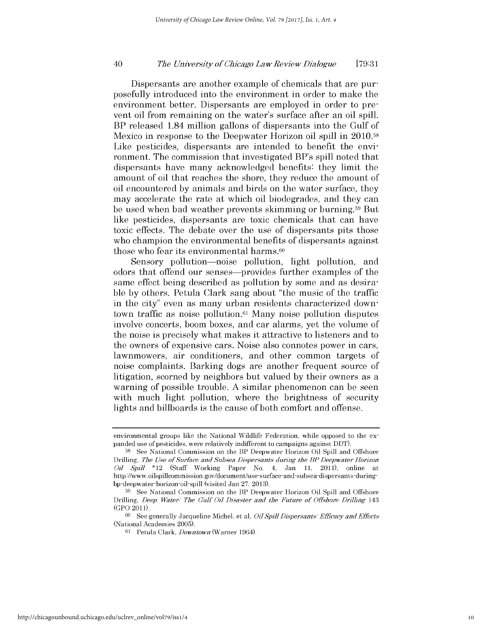#### 40 *The University of Ohicago Law Roviow Dialogue* **[79:31**

Dispersants are another example of chemicals that are purposefully introduced into the environment in order to make the environment better. Dispersants are employed in order to prevent oil from remaining on the water's surface after an oil spill. BP released 1.84 million gallons of dispersants into the Gulf of Mexico in response to the Deepwater Horizon oil spill in 2010.58 Like pesticides, dispersants are intended to benefit the environment. The commission that investigated BP's spill noted that dispersants have many acknowledged benefits: they limit the amount of oil that reaches the shore, they reduce the amount of oil encountered by animals and birds on the water surface, they may accelerate the rate at which oil biodegrades, and they can be used when bad weather prevents skimming or burning.59 But like pesticides, dispersants are toxic chemicals that can have toxic effects. The debate over the use of dispersants pits those who champion the environmental benefits of dispersants against those who fear its environmental harms.<sup>60</sup>

Sensory pollution-noise pollution, light pollution, and odors that offend our senses-provides further examples of the same effect being described as pollution by some and as desirable by others. Petula Clark sang about "the music of the traffic in the city" even as many urban residents characterized downtown traffic as noise pollution. $61$  Many noise pollution disputes involve concerts, boom boxes, and car alarms, yet the volume of the noise is precisely what makes it attractive to listeners and to the owners of expensive cars. Noise also connotes power in cars, lawnmowers, air conditioners, and other common targets of noise complaints. Barking dogs are another frequent source of litigation, scorned by neighbors but valued by their owners as a warning of possible trouble. A similar phenomenon can be seen with much light pollution, where the brightness of security lights and billboards is the cause of both comfort and offense.

environmental groups like the National Wildlife Federation, while opposed to the expanded use of pesticides, were relatively indifferent to campaigns against DDT).

<sup>58</sup> See National Commission on the BP Deepwater Horizon Oil Spill and Offshore Drilling, *The Use of Surface and Subsea Dispersants during the BP Deepwater Horizon Oil Spill* \*12 (Staff Working Paper No. 4, Jan 11, 2011), online at http://www.oilspillcommission. gov/document/use -surface -and- subsea- dispersants -duringbp -deepwater -horizon-oil- spill (visited Jan 27, 2013).

**<sup>59</sup>**See National Commission on the BP Deepwater Horizon Oil Spill and Offshore Drilling, *Deep Water. The Gulf Oil Disaster and the Future of Offshore Drilling* 143 (GPO 2011).

**<sup>60</sup>**See generally Jacqueline Michel, et al, *Oil Spill Disporsants. Efficacy and Effects* (National Academies 2005).

<sup>61</sup> Petula Clark, *Downtown* (Warner 1964).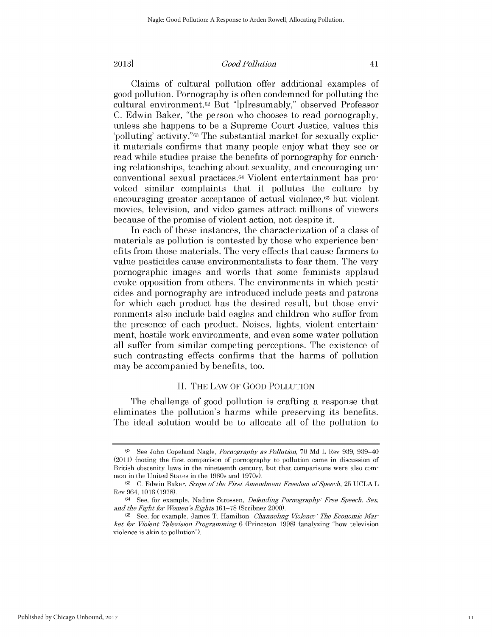#### *Good Pollution*

Claims of cultural pollution offer additional examples of good pollution. Pornography is often condemned for polluting the cultural environment.2 But "[p]resumably," observed Professor C. Edwin Baker, "the person who chooses to read pornography, unless she happens to be a Supreme Court Justice, values this 'polluting' activity."63 The substantial market for sexually explicit materials confirms that many people enjoy what they see or read while studies praise the benefits of pornography for enriching relationships, teaching about sexuality, and encouraging unconventional sexual practices.64 Violent entertainment has provoked similar complaints that it pollutes the culture by encouraging greater acceptance of actual violence,<sup>65</sup> but violent movies, television, and video games attract millions of viewers because of the promise of violent action, not despite it.

In each of these instances, the characterization of a class of materials as pollution is contested by those who experience benefits from those materials. The very effects that cause farmers to value pesticides cause environmentalists to fear them. The very pornographic images and words that some feminists applaud evoke opposition from others. The environments in which pesticides and pornography are introduced include pests and patrons for which each product has the desired result, but those environments also include bald eagles and children who suffer from the presence of each product. Noises, lights, violent entertainment, hostile work environments, and even some water pollution all suffer from similar competing perceptions. The existence of such contrasting effects confirms that the harms of pollution may be accompanied by benefits, too.

### II. THE LAW OF GOOD POLLUTION

The challenge of good pollution is crafting a response that eliminates the pollution's harms while preserving its benefits. The ideal solution would be to allocate all of the pollution to

**<sup>62</sup>**See John Copeland Nagle, *Pornography as Pollution,* 70 Md L Rev 939, 939-40 (2011) (noting the first comparison of pornography to pollution came in discussion of British obscenity laws in the nineteenth century, but that comparisons were also common in the United States in the 1960s and 1970s).

**<sup>63</sup>**C. Edwin Baker, *Scope of the First Amendment Freedom of Speech,* 25 UCLA L Rev 964, 1016 (1978).

<sup>64</sup>See, for example, Nadine Strossen, *Defending Pornography.' Free Speech,* Sex and the Fight for Women's *Rights* 161-78 (Scribner 2000).

**<sup>65</sup>** See, for example, James T. Hamilton, *Channeling Violence. The Economic Market for Violent Television Programming* 6 (Princeton 1998) (analyzing "how television violence is akin to pollution").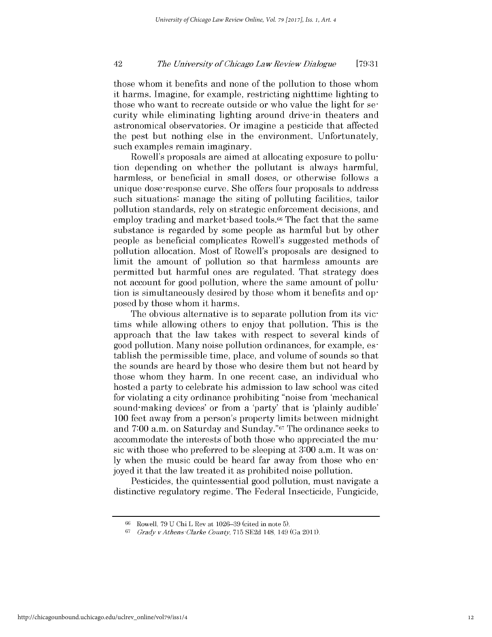#### 42 *Tho Univorsity of Ohicago Law Roviow Dialoguo* **[79:31**

those whom it benefits and none of the pollution to those whom it harms. Imagine, for example, restricting nighttime lighting to those who want to recreate outside or who value the light for security while eliminating lighting around drive-in theaters and astronomical observatories. Or imagine a pesticide that affected the pest but nothing else in the environment. Unfortunately, such examples remain imaginary.

Rowell's proposals are aimed at allocating exposure to pollution depending on whether the pollutant is always harmful, harmless, or beneficial in small doses, or otherwise follows a unique dose-response curve. She offers four proposals to address such situations: manage the siting of polluting facilities, tailor pollution standards, rely on strategic enforcement decisions, and employ trading and market-based tools.<sup>66</sup> The fact that the same substance is regarded by some people as harmful but by other people as beneficial complicates Rowell's suggested methods of pollution allocation. Most of Rowell's proposals are designed to limit the amount of pollution so that harmless amounts are permitted but harmful ones are regulated. That strategy does not account for good pollution, where the same amount of pollution is simultaneously desired by those whom it benefits and opposed by those whom it harms.

The obvious alternative is to separate pollution from its victims while allowing others to enjoy that pollution. This is the approach that the law takes with respect to several kinds of good pollution. Many noise pollution ordinances, for example, establish the permissible time, place, and volume of sounds so that the sounds are heard by those who desire them but not heard by those whom they harm. In one recent case, an individual who hosted a party to celebrate his admission to law school was cited for violating a city ordinance prohibiting "noise from 'mechanical sound-making devices' or from a 'party' that is 'plainly audible' 100 feet away from a person's property limits between midnight and 7:00 a.m. on Saturday and Sunday."67 The ordinance seeks to accommodate the interests of both those who appreciated the music with those who preferred to be sleeping at 3:00 a.m. It was only when the music could be heard far away from those who enjoyed it that the law treated it as prohibited noise pollution.

Pesticides, the quintessential good pollution, must navigate a distinctive regulatory regime. The Federal Insecticide, Fungicide,

<sup>66</sup> Rowell, 79 U Chi L Rev at 1026-39 (cited in note 5).

<sup>67</sup>*Grady vAthens-Clarko County,* 715 SE2d 148, 149 (Ga 2011).